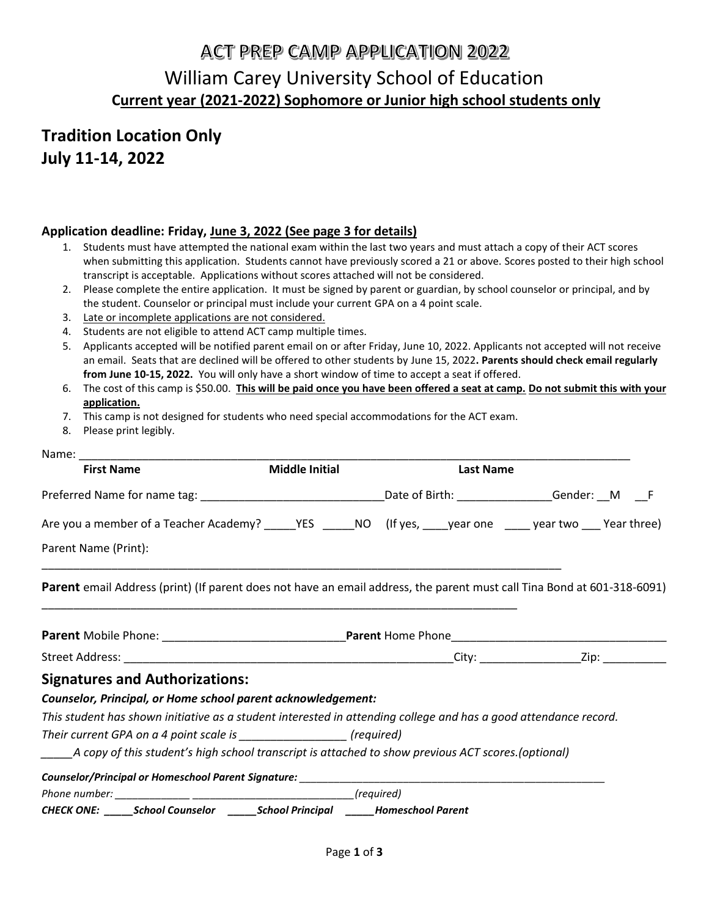# **ACT PREP CAMP APPLICATION 2022** William Carey University School of Education **Current year (2021-2022) Sophomore or Junior high school students only**

## **Tradition Location Only July 11-14, 2022**

### **Application deadline: Friday, June 3, 2022 (See page 3 for details)**

- 1. Students must have attempted the national exam within the last two years and must attach a copy of their ACT scores when submitting this application. Students cannot have previously scored a 21 or above. Scores posted to their high school transcript is acceptable. Applications without scores attached will not be considered.
- 2. Please complete the entire application. It must be signed by parent or guardian, by school counselor or principal, and by the student. Counselor or principal must include your current GPA on a 4 point scale.
- 3. Late or incomplete applications are not considered.
- 4. Students are not eligible to attend ACT camp multiple times.
- 5. Applicants accepted will be notified parent email on or after Friday, June 10, 2022. Applicants not accepted will not receive an email. Seats that are declined will be offered to other students by June 15, 2022**. Parents should check email regularly from June 10-15, 2022.** You will only have a short window of time to accept a seat if offered.
- 6. The cost of this camp is \$50.00. **This will be paid once you have been offered a seat at camp. Do not submit this with your application.**
- 7. This camp is not designed for students who need special accommodations for the ACT exam.
- 8. Please print legibly.

| <b>First Name</b>                                                                                                       | <b>Middle Initial</b> | <b>Last Name</b> |  |  |
|-------------------------------------------------------------------------------------------------------------------------|-----------------------|------------------|--|--|
| Preferred Name for name tag: ________________________________Date of Birth: ______________Gender: __M ___F              |                       |                  |  |  |
| Are you a member of a Teacher Academy? _____YES _____NO (If yes, ____year one _____ year two ___ Year three)            |                       |                  |  |  |
| Parent Name (Print):                                                                                                    |                       |                  |  |  |
| Parent email Address (print) (If parent does not have an email address, the parent must call Tina Bond at 601-318-6091) |                       |                  |  |  |
|                                                                                                                         |                       |                  |  |  |
|                                                                                                                         |                       |                  |  |  |
| <b>Signatures and Authorizations:</b>                                                                                   |                       |                  |  |  |
| Counselor, Principal, or Home school parent acknowledgement:                                                            |                       |                  |  |  |
| This student has shown initiative as a student interested in attending college and has a good attendance record.        |                       |                  |  |  |
| Their current GPA on a 4 point scale is __________________ (required)                                                   |                       |                  |  |  |
| _____A copy of this student's high school transcript is attached to show previous ACT scores.(optional)                 |                       |                  |  |  |
|                                                                                                                         |                       |                  |  |  |
|                                                                                                                         |                       |                  |  |  |
| CHECK ONE: ______ School Counselor _______ School Principal ______ Homeschool Parent                                    |                       |                  |  |  |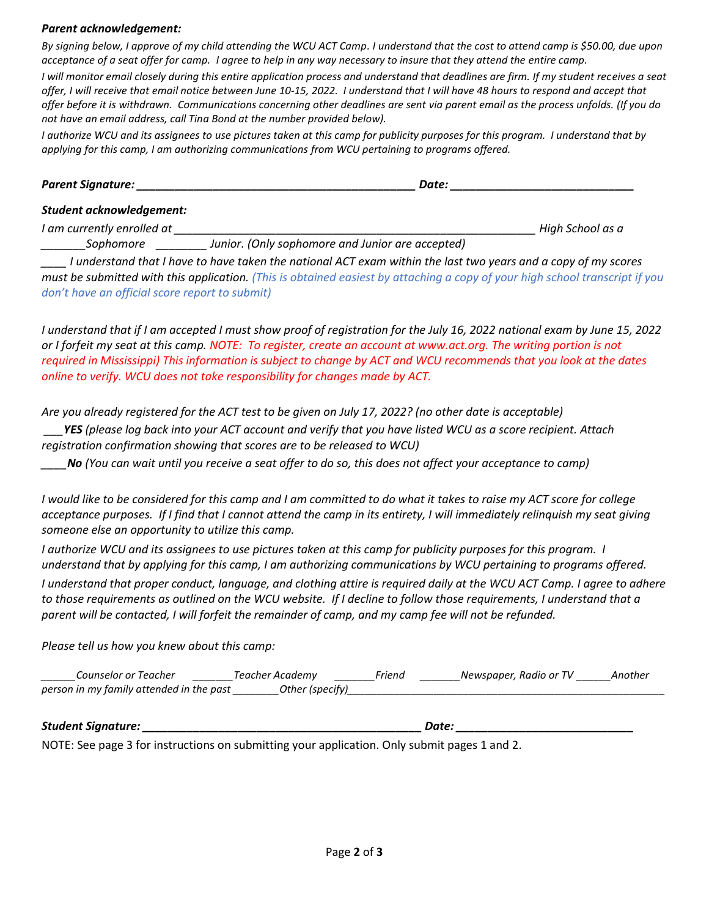#### *Parent acknowledgement:*

*By signing below, I approve of my child attending the WCU ACT Camp. I understand that the cost to attend camp is \$50.00, due upon acceptance of a seat offer for camp. I agree to help in any way necessary to insure that they attend the entire camp.* 

*I will monitor email closely during this entire application process and understand that deadlines are firm. If my student receives a seat offer, I will receive that email notice between June 10-15, 2022. I understand that I will have 48 hours to respond and accept that offer before it is withdrawn. Communications concerning other deadlines are sent via parent email as the process unfolds. (If you do not have an email address, call Tina Bond at the number provided below).*

*I authorize WCU and its assignees to use pictures taken at this camp for publicity purposes for this program. I understand that by applying for this camp, I am authorizing communications from WCU pertaining to programs offered.*

| Parent Signature: | Date: |  |
|-------------------|-------|--|
|                   |       |  |

#### *Student acknowledgement:*

*I am currently enrolled at \_\_\_\_\_\_\_\_\_\_\_\_\_\_\_\_\_\_\_\_\_\_\_\_\_\_\_\_\_\_\_\_\_\_\_\_\_\_\_\_\_\_\_\_\_\_\_\_\_\_\_\_\_\_\_\_\_ High School as a*

*\_\_\_\_\_\_\_Sophomore \_\_\_\_\_\_\_\_ Junior. (Only sophomore and Junior are accepted)*

*\_\_\_\_ I understand that I have to have taken the national ACT exam within the last two years and a copy of my scores must be submitted with this application. (This is obtained easiest by attaching a copy of your high school transcript if you don't have an official score report to submit)*

*I understand that if I am accepted I must show proof of registration for the July 16, 2022 national exam by June 15, 2022 or I forfeit my seat at this camp. NOTE: To register, create an account at www.act.org. The writing portion is not required in Mississippi) This information is subject to change by ACT and WCU recommends that you look at the dates online to verify. WCU does not take responsibility for changes made by ACT.*

*Are you already registered for the ACT test to be given on July 17, 2022? (no other date is acceptable)*

*\_\_\_YES (please log back into your ACT account and verify that you have listed WCU as a score recipient. Attach registration confirmation showing that scores are to be released to WCU)*

*\_\_\_\_No (You can wait until you receive a seat offer to do so, this does not affect your acceptance to camp)*

*I would like to be considered for this camp and I am committed to do what it takes to raise my ACT score for college acceptance purposes. If I find that I cannot attend the camp in its entirety, I will immediately relinquish my seat giving someone else an opportunity to utilize this camp.*

*I authorize WCU and its assignees to use pictures taken at this camp for publicity purposes for this program. I understand that by applying for this camp, I am authorizing communications by WCU pertaining to programs offered.*

*I understand that proper conduct, language, and clothing attire is required daily at the WCU ACT Camp. I agree to adhere to those requirements as outlined on the WCU website. If I decline to follow those requirements, I understand that a parent will be contacted, I will forfeit the remainder of camp, and my camp fee will not be refunded.* 

*Please tell us how you knew about this camp:*

| Counselor or Teacher                     | Feacher Academv | riena | Newspaper, Radio or TV | Another |
|------------------------------------------|-----------------|-------|------------------------|---------|
| person in my family attended in the past | Other (specify) |       |                        |         |

| Student Sianature: | Date. |
|--------------------|-------|
|                    |       |

NOTE: See page 3 for instructions on submitting your application. Only submit pages 1 and 2.